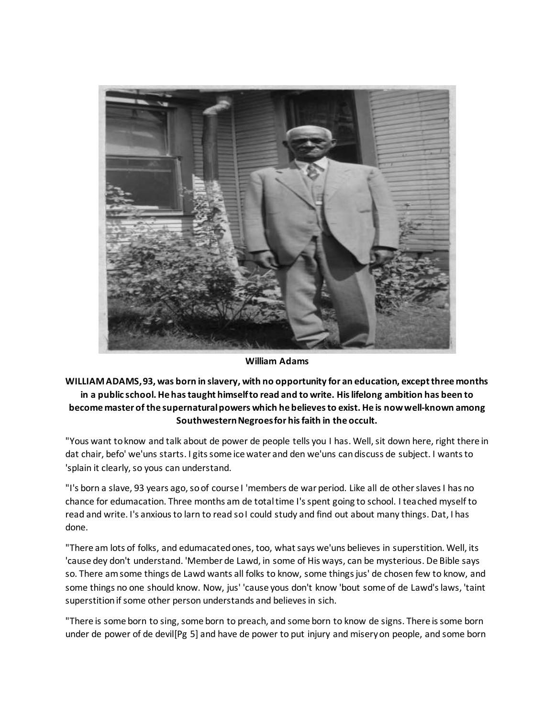

**William Adams**

## **WILLIAM ADAMS, 93, was born in slavery, with no opportunity for an education, except three months in a public school. He has taught himself to read and to write. His lifelong ambition has been to become master of the supernatural powers which he believes to exist. He is now well-known among Southwestern Negroes for his faith in the occult.**

"Yous want to know and talk about de power de people tells you I has. Well, sit down here, right there in dat chair, befo' we'uns starts. I gits some ice water and den we'uns can discuss de subject. I wants to 'splain it clearly, so yous can understand.

"I's born a slave, 93 years ago, so of course I 'members de war period. Like all de other slaves I has no chance for edumacation. Three months am de total time I's spent going to school. I teached myself to read and write. I's anxious to larn to read so I could study and find out about many things. Dat, I has done.

"There am lots of folks, and edumacated ones, too, what says we'uns believes in superstition. Well, its 'cause dey don't understand. 'Member de Lawd, in some of His ways, can be mysterious. De Bible says so. There am some things de Lawd wants all folks to know, some things jus' de chosen few to know, and some things no one should know. Now, jus' 'cause yous don't know 'bout some of de Lawd's laws, 'taint superstition if some other person understands and believes in sich.

"There is some born to sing, some born to preach, and some born to know de signs. There is some born under de power of de devil[Pg 5] and have de power to put injury and misery on people, and some born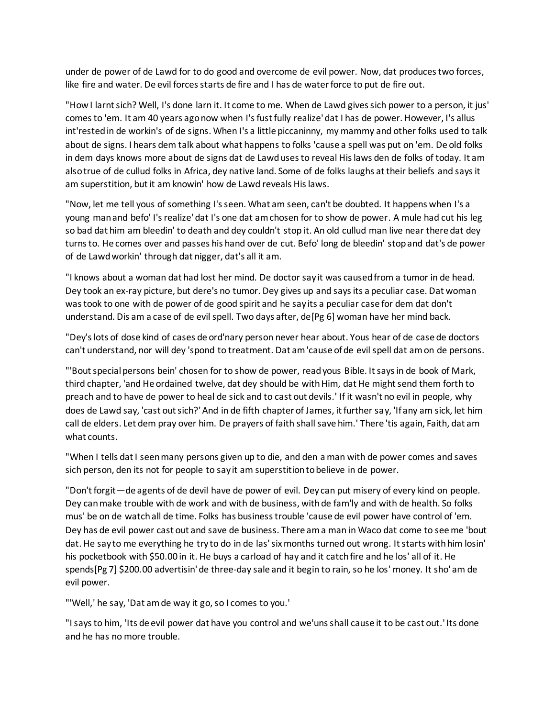under de power of de Lawd for to do good and overcome de evil power. Now, dat produces two forces, like fire and water. De evil forces starts de fire and I has de water force to put de fire out.

"How I larnt sich? Well, I's done larn it. It come to me. When de Lawd gives sich power to a person, it jus' comes to 'em. It am 40 years ago now when I's fust fully realize' dat I has de power. However, I's allus int'rested in de workin's of de signs. When I's a little piccaninny, my mammy and other folks used to talk about de signs. I hears dem talk about what happens to folks 'cause a spell was put on 'em. De old folks in dem days knows more about de signs dat de Lawd uses to reveal His laws den de folks of today. It am also true of de cullud folks in Africa, dey native land. Some of de folks laughs at their beliefs and says it am superstition, but it am knowin' how de Lawd reveals His laws.

"Now, let me tell yous of something I's seen. What am seen, can't be doubted. It happens when I's a young man and befo' I's realize' dat I's one dat am chosen for to show de power. A mule had cut his leg so bad dat him am bleedin' to death and dey couldn't stop it. An old cullud man live near there dat dey turns to. He comes over and passes his hand over de cut. Befo' long de bleedin' stop and dat's de power of de Lawd workin' through dat nigger, dat's all it am.

"I knows about a woman dat had lost her mind. De doctor say it was caused from a tumor in de head. Dey took an ex-ray picture, but dere's no tumor. Dey gives up and says its a peculiar case. Dat woman was took to one with de power of de good spirit and he say its a peculiar case for dem dat don't understand. Dis am a case of de evil spell. Two days after, de[Pg 6] woman have her mind back.

"Dey's lots of dose kind of cases de ord'nary person never hear about. Yous hear of de case de doctors can't understand, nor will dey 'spond to treatment. Dat am 'cause of de evil spell dat am on de persons.

"'Bout special persons bein' chosen for to show de power, read yous Bible. It says in de book of Mark, third chapter, 'and He ordained twelve, dat dey should be with Him, dat He might send them forth to preach and to have de power to heal de sick and to cast out devils.' If it wasn't no evil in people, why does de Lawd say, 'cast out sich?' And in de fifth chapter of James, it further say, 'If any am sick, let him call de elders. Let dem pray over him. De prayers of faith shall save him.' There 'tis again, Faith, dat am what counts.

"When I tells dat I seen many persons given up to die, and den a man with de power comes and saves sich person, den its not for people to say it am superstition to believe in de power.

"Don't forgit—de agents of de devil have de power of evil. Dey can put misery of every kind on people. Dey can make trouble with de work and with de business, with de fam'ly and with de health. So folks mus' be on de watch all de time. Folks has business trouble 'cause de evil power have control of 'em. Dey has de evil power cast out and save de business. There am a man in Waco dat come to see me 'bout dat. He say to me everything he try to do in de las' six months turned out wrong. It starts with him losin' his pocketbook with \$50.00 in it. He buys a carload of hay and it catch fire and he los' all of it. He spends[Pg 7] \$200.00 advertisin' de three-day sale and it begin to rain, so he los' money. It sho' am de evil power.

"'Well,' he say, 'Dat am de way it go, so I comes to you.'

"I says to him, 'Its de evil power dat have you control and we'uns shall cause it to be cast out.' Its done and he has no more trouble.